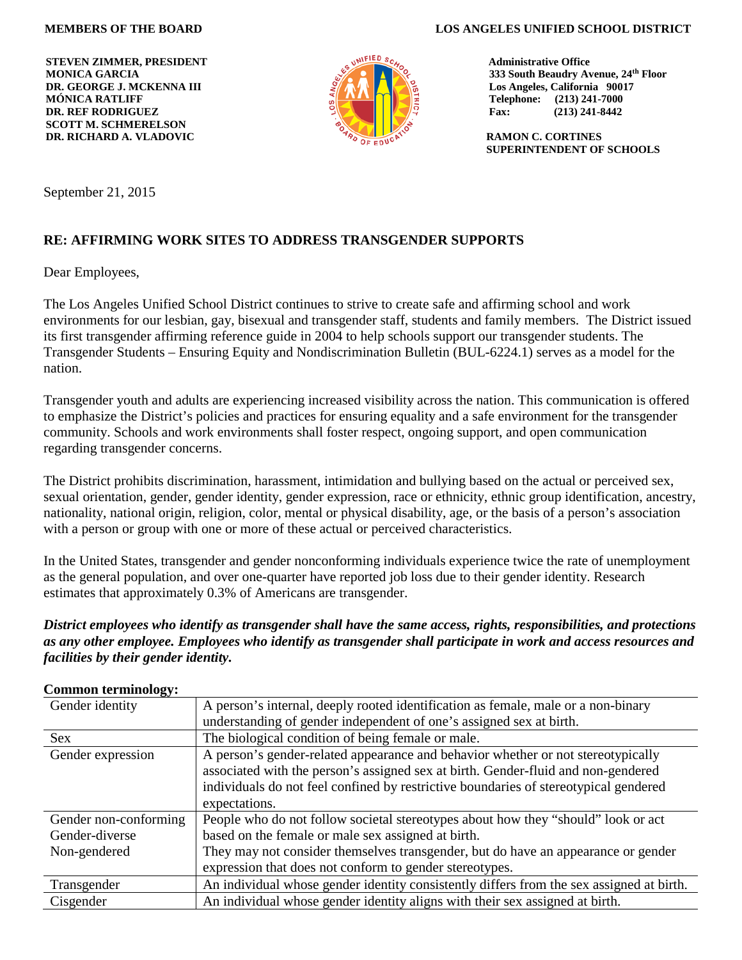**STEVEN ZIMMER, PRESIDENT MONICA GARCIA DR. GEORGE J. MCKENNA III MÓNICA RATLIFF DR. REF RODRIGUEZ SCOTT M. SCHMERELSON DR. RICHARD A. VLADOVIC**



**MEMBERS OF THE BOARD LOS ANGELES UNIFIED SCHOOL DISTRICT**

 **Administrative Office 333 South Beaudry Avenue, 24th Floor Los Angeles, California 90017 Telephone: (213) 241-7000 Fax: (213) 241-8442**

 **RAMON C. CORTINES SUPERINTENDENT OF SCHOOLS**

September 21, 2015

# **RE: AFFIRMING WORK SITES TO ADDRESS TRANSGENDER SUPPORTS**

Dear Employees,

The Los Angeles Unified School District continues to strive to create safe and affirming school and work environments for our lesbian, gay, bisexual and transgender staff, students and family members. The District issued its first transgender affirming reference guide in 2004 to help schools support our transgender students. The Transgender Students – Ensuring Equity and Nondiscrimination Bulletin (BUL-6224.1) serves as a model for the nation.

Transgender youth and adults are experiencing increased visibility across the nation. This communication is offered to emphasize the District's policies and practices for ensuring equality and a safe environment for the transgender community. Schools and work environments shall foster respect, ongoing support, and open communication regarding transgender concerns.

The District prohibits discrimination, harassment, intimidation and bullying based on the actual or perceived sex, sexual orientation, gender, gender identity, gender expression, race or ethnicity, ethnic group identification, ancestry, nationality, national origin, religion, color, mental or physical disability, age, or the basis of a person's association with a person or group with one or more of these actual or perceived characteristics.

In the United States, transgender and gender nonconforming individuals experience twice the rate of unemployment as the general population, and over one-quarter have reported job loss due to their gender identity. Research estimates that approximately 0.3% of Americans are transgender.

*District employees who identify as transgender shall have the same access, rights, responsibilities, and protections as any other employee. Employees who identify as transgender shall participate in work and access resources and facilities by their gender identity.*

| Gender identity       | A person's internal, deeply rooted identification as female, male or a non-binary        |
|-----------------------|------------------------------------------------------------------------------------------|
|                       | understanding of gender independent of one's assigned sex at birth.                      |
| <b>Sex</b>            | The biological condition of being female or male.                                        |
| Gender expression     | A person's gender-related appearance and behavior whether or not stereotypically         |
|                       | associated with the person's assigned sex at birth. Gender-fluid and non-gendered        |
|                       | individuals do not feel confined by restrictive boundaries of stereotypical gendered     |
|                       | expectations.                                                                            |
| Gender non-conforming | People who do not follow societal stereotypes about how they "should" look or act        |
| Gender-diverse        | based on the female or male sex assigned at birth.                                       |
| Non-gendered          | They may not consider themselves transgender, but do have an appearance or gender        |
|                       | expression that does not conform to gender stereotypes.                                  |
| Transgender           | An individual whose gender identity consistently differs from the sex assigned at birth. |
| Cisgender             | An individual whose gender identity aligns with their sex assigned at birth.             |

#### **Common terminology:**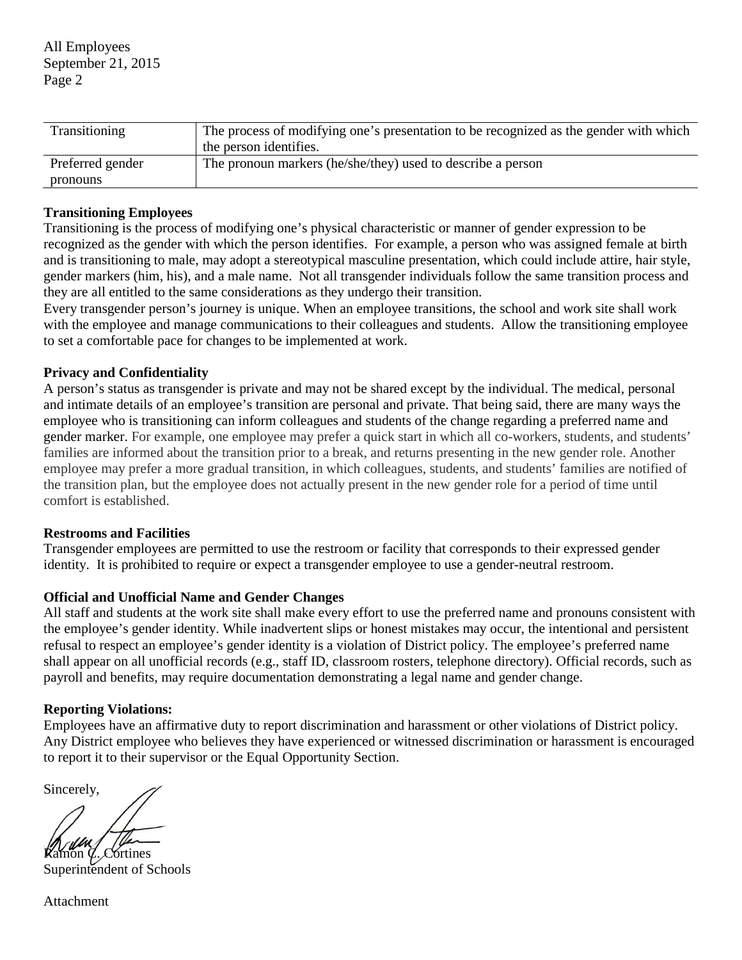| Transitioning    | The process of modifying one's presentation to be recognized as the gender with which<br>the person identifies. |
|------------------|-----------------------------------------------------------------------------------------------------------------|
| Preferred gender | The pronoun markers (he/she/they) used to describe a person                                                     |
| pronouns         |                                                                                                                 |

## **Transitioning Employees**

Transitioning is the process of modifying one's physical characteristic or manner of gender expression to be recognized as the gender with which the person identifies. For example, a person who was assigned female at birth and is transitioning to male, may adopt a stereotypical masculine presentation, which could include attire, hair style, gender markers (him, his), and a male name. Not all transgender individuals follow the same transition process and they are all entitled to the same considerations as they undergo their transition.

Every transgender person's journey is unique. When an employee transitions, the school and work site shall work with the employee and manage communications to their colleagues and students. Allow the transitioning employee to set a comfortable pace for changes to be implemented at work.

# **Privacy and Confidentiality**

A person's status as transgender is private and may not be shared except by the individual. The medical, personal and intimate details of an employee's transition are personal and private. That being said, there are many ways the employee who is transitioning can inform colleagues and students of the change regarding a preferred name and gender marker. For example, one employee may prefer a quick start in which all co-workers, students, and students' families are informed about the transition prior to a break, and returns presenting in the new gender role. Another employee may prefer a more gradual transition, in which colleagues, students, and students' families are notified of the transition plan, but the employee does not actually present in the new gender role for a period of time until comfort is established.

### **Restrooms and Facilities**

Transgender employees are permitted to use the restroom or facility that corresponds to their expressed gender identity. It is prohibited to require or expect a transgender employee to use a gender-neutral restroom.

### **Official and Unofficial Name and Gender Changes**

All staff and students at the work site shall make every effort to use the preferred name and pronouns consistent with the employee's gender identity. While inadvertent slips or honest mistakes may occur, the intentional and persistent refusal to respect an employee's gender identity is a violation of District policy. The employee's preferred name shall appear on all unofficial records (e.g., staff ID, classroom rosters, telephone directory). Official records, such as payroll and benefits, may require documentation demonstrating a legal name and gender change.

# **Reporting Violations:**

Employees have an affirmative duty to report discrimination and harassment or other violations of District policy. Any District employee who believes they have experienced or witnessed discrimination or harassment is encouraged to report it to their supervisor or the Equal Opportunity Section.

Sincerely,

 $\phi$ . Cortines Superintendent of Schools

Attachment